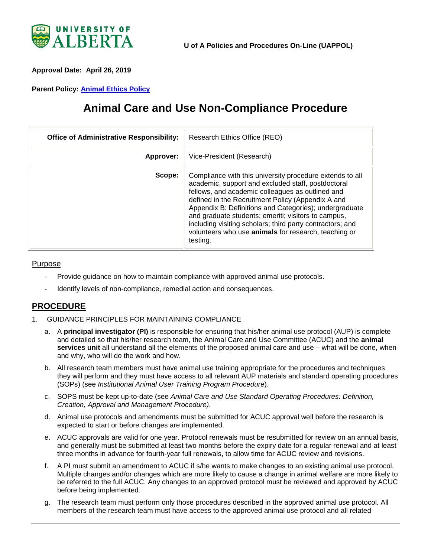

<span id="page-0-0"></span>**Approval Date: April 26, 2019** 

**Parent Policy: [Animal Ethics Policy](https://policiesonline.ualberta.ca/PoliciesProcedures/Policies/Animal-Ethics-Policy.pdf)**

# **Animal Care and Use Non-Compliance Procedure**

| <b>Office of Administrative Responsibility:</b> | Research Ethics Office (REO)                                                                                                                                                                                                                                                                                                                                                                                                                                              |
|-------------------------------------------------|---------------------------------------------------------------------------------------------------------------------------------------------------------------------------------------------------------------------------------------------------------------------------------------------------------------------------------------------------------------------------------------------------------------------------------------------------------------------------|
| Approver:                                       | Vice-President (Research)                                                                                                                                                                                                                                                                                                                                                                                                                                                 |
| Scope:                                          | Compliance with this university procedure extends to all<br>academic, support and excluded staff, postdoctoral<br>fellows, and academic colleagues as outlined and<br>defined in the Recruitment Policy (Appendix A and<br>Appendix B: Definitions and Categories); undergraduate<br>and graduate students; emeriti; visitors to campus,<br>including visiting scholars; third party contractors; and<br>volunteers who use animals for research, teaching or<br>testing. |

#### Purpose

- Provide guidance on how to maintain compliance with approved animal use protocols.
- Identify levels of non-compliance, remedial action and consequences.

## **PROCEDURE**

- 1. GUIDANCE PRINCIPLES FOR MAINTAINING COMPLIANCE
	- a. A **principal investigator (PI)** is responsible for ensuring that his/her animal use protocol (AUP) is complete and detailed so that his/her research team, the Animal Care and Use Committee (ACUC) and the **animal services unit** all understand all the elements of the proposed animal care and use – what will be done, when and why, who will do the work and how.
	- b. All research team members must have animal use training appropriate for the procedures and techniques they will perform and they must have access to all relevant AUP materials and standard operating procedures (SOPs) (see *Institutional Animal User Training Program Procedure*).
	- c. SOPS must be kept up-to-date (see *Animal Care and Use Standard Operating Procedures: Definition, Creation, Approval and Management Procedure)*.
	- d. Animal use protocols and amendments must be submitted for ACUC approval well before the research is expected to start or before changes are implemented.
	- e. ACUC approvals are valid for one year. Protocol renewals must be resubmitted for review on an annual basis, and generally must be submitted at least two months before the expiry date for a regular renewal and at least three months in advance for fourth-year full renewals, to allow time for ACUC review and revisions.
	- f. A PI must submit an amendment to ACUC if s/he wants to make changes to an existing animal use protocol. Multiple changes and/or changes which are more likely to cause a change in animal welfare are more likely to be referred to the full ACUC. Any changes to an approved protocol must be reviewed and approved by ACUC before being implemented.
	- g. The research team must perform only those procedures described in the approved animal use protocol. All members of the research team must have access to the approved animal use protocol and all related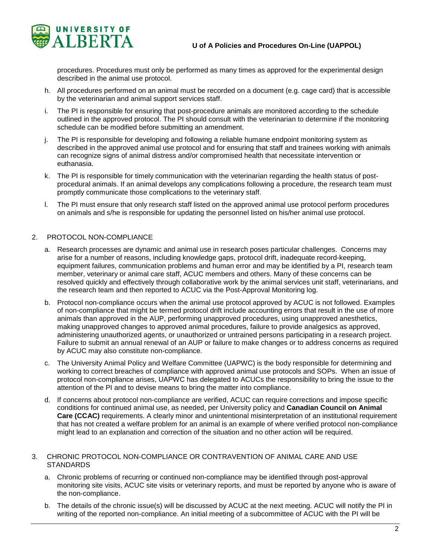



procedures. Procedures must only be performed as many times as approved for the experimental design described in the animal use protocol.

- h. All procedures performed on an animal must be recorded on a document (e.g. cage card) that is accessible by the veterinarian and animal support services staff.
- i. The PI is responsible for ensuring that post-procedure animals are monitored according to the schedule outlined in the approved protocol. The PI should consult with the veterinarian to determine if the monitoring schedule can be modified before submitting an amendment.
- j. The PI is responsible for developing and following a reliable humane endpoint monitoring system as described in the approved animal use protocol and for ensuring that staff and trainees working with animals can recognize signs of animal distress and/or compromised health that necessitate intervention or euthanasia.
- k. The PI is responsible for timely communication with the veterinarian regarding the health status of postprocedural animals. If an animal develops any complications following a procedure, the research team must promptly communicate those complications to the veterinary staff.
- l. The PI must ensure that only research staff listed on the approved animal use protocol perform procedures on animals and s/he is responsible for updating the personnel listed on his/her animal use protocol.

#### 2. PROTOCOL NON-COMPLIANCE

- a. Research processes are dynamic and animal use in research poses particular challenges. Concerns may arise for a number of reasons, including knowledge gaps, protocol drift, inadequate record-keeping, equipment failures, communication problems and human error and may be identified by a PI, research team member, veterinary or animal care staff, ACUC members and others. Many of these concerns can be resolved quickly and effectively through collaborative work by the animal services unit staff, veterinarians, and the research team and then reported to ACUC via the Post-Approval Monitoring log.
- b. Protocol non-compliance occurs when the animal use protocol approved by ACUC is not followed. Examples of non-compliance that might be termed protocol drift include accounting errors that result in the use of more animals than approved in the AUP, performing unapproved procedures, using unapproved anesthetics, making unapproved changes to approved animal procedures, failure to provide analgesics as approved, administering unauthorized agents, or unauthorized or untrained persons participating in a research project. Failure to submit an annual renewal of an AUP or failure to make changes or to address concerns as required by ACUC may also constitute non-compliance.
- c. The University Animal Policy and Welfare Committee (UAPWC) is the body responsible for determining and working to correct breaches of compliance with approved animal use protocols and SOPs. When an issue of protocol non-compliance arises, UAPWC has delegated to ACUCs the responsibility to bring the issue to the attention of the PI and to devise means to bring the matter into compliance.
- d. If concerns about protocol non-compliance are verified, ACUC can require corrections and impose specific conditions for continued animal use, as needed, per University policy and **Canadian Council on Animal Care (CCAC)** requirements. A clearly minor and unintentional misinterpretation of an institutional requirement that has not created a welfare problem for an animal is an example of where verified protocol non-compliance might lead to an explanation and correction of the situation and no other action will be required.

#### 3. CHRONIC PROTOCOL NON-COMPLIANCE OR CONTRAVENTION OF ANIMAL CARE AND USE **STANDARDS**

- a. Chronic problems of recurring or continued non-compliance may be identified through post-approval monitoring site visits, ACUC site visits or veterinary reports, and must be reported by anyone who is aware of the non-compliance.
- b. The details of the chronic issue(s) will be discussed by ACUC at the next meeting. ACUC will notify the PI in writing of the reported non-compliance. An initial meeting of a subcommittee of ACUC with the PI will be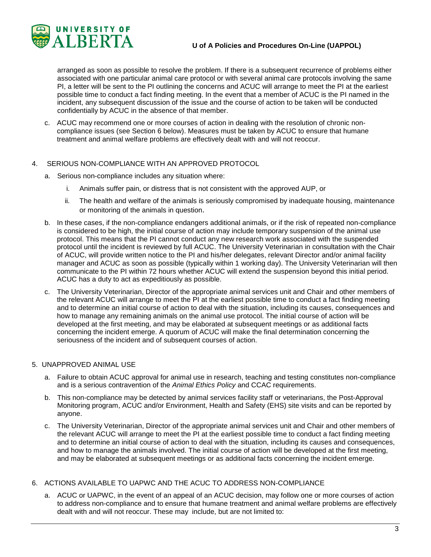

arranged as soon as possible to resolve the problem. If there is a subsequent recurrence of problems either associated with one particular animal care protocol or with several animal care protocols involving the same PI, a letter will be sent to the PI outlining the concerns and ACUC will arrange to meet the PI at the earliest possible time to conduct a fact finding meeting. In the event that a member of ACUC is the PI named in the incident, any subsequent discussion of the issue and the course of action to be taken will be conducted confidentially by ACUC in the absence of that member.

c. ACUC may recommend one or more courses of action in dealing with the resolution of chronic noncompliance issues (see Section 6 below). Measures must be taken by ACUC to ensure that humane treatment and animal welfare problems are effectively dealt with and will not reoccur.

#### 4. SERIOUS NON-COMPLIANCE WITH AN APPROVED PROTOCOL

- a. Serious non-compliance includes any situation where:
	- i. Animals suffer pain, or distress that is not consistent with the approved AUP, or
	- ii. The health and welfare of the animals is seriously compromised by inadequate housing, maintenance or monitoring of the animals in question.
- b. In these cases, if the non-compliance endangers additional animals, or if the risk of repeated non-compliance is considered to be high, the initial course of action may include temporary suspension of the animal use protocol. This means that the PI cannot conduct any new research work associated with the suspended protocol until the incident is reviewed by full ACUC. The University Veterinarian in consultation with the Chair of ACUC, will provide written notice to the PI and his/her delegates, relevant Director and/or animal facility manager and ACUC as soon as possible (typically within 1 working day). The University Veterinarian will then communicate to the PI within 72 hours whether ACUC will extend the suspension beyond this initial period. ACUC has a duty to act as expeditiously as possible.
- c. The University Veterinarian, Director of the appropriate animal services unit and Chair and other members of the relevant ACUC will arrange to meet the PI at the earliest possible time to conduct a fact finding meeting and to determine an initial course of action to deal with the situation, including its causes, consequences and how to manage any remaining animals on the animal use protocol. The initial course of action will be developed at the first meeting, and may be elaborated at subsequent meetings or as additional facts concerning the incident emerge. A quorum of ACUC will make the final determination concerning the seriousness of the incident and of subsequent courses of action.

#### 5. UNAPPROVED ANIMAL USE

- a. Failure to obtain ACUC approval for animal use in research, teaching and testing constitutes non-compliance and is a serious contravention of the *Animal Ethics Policy* and CCAC requirements.
- b. This non-compliance may be detected by animal services facility staff or veterinarians, the Post-Approval Monitoring program, ACUC and/or Environment, Health and Safety (EHS) site visits and can be reported by anyone.
- c. The University Veterinarian, Director of the appropriate animal services unit and Chair and other members of the relevant ACUC will arrange to meet the PI at the earliest possible time to conduct a fact finding meeting and to determine an initial course of action to deal with the situation, including its causes and consequences, and how to manage the animals involved. The initial course of action will be developed at the first meeting, and may be elaborated at subsequent meetings or as additional facts concerning the incident emerge.

#### 6. ACTIONS AVAILABLE TO UAPWC AND THE ACUC TO ADDRESS NON-COMPLIANCE

a. ACUC or UAPWC, in the event of an appeal of an ACUC decision, may follow one or more courses of action to address non-compliance and to ensure that humane treatment and animal welfare problems are effectively dealt with and will not reoccur. These may include, but are not limited to: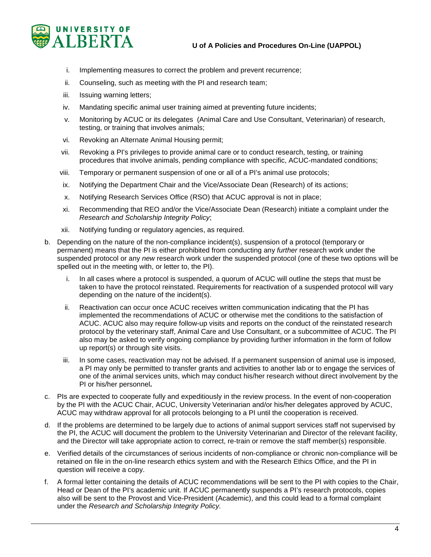

- i. Implementing measures to correct the problem and prevent recurrence;
- ii. Counseling, such as meeting with the PI and research team;
- iii. Issuing warning letters;
- iv. Mandating specific animal user training aimed at preventing future incidents;
- v. Monitoring by ACUC or its delegates (Animal Care and Use Consultant, Veterinarian) of research, testing, or training that involves animals;
- vi. Revoking an Alternate Animal Housing permit;
- vii. Revoking a PI's privileges to provide animal care or to conduct research, testing, or training procedures that involve animals, pending compliance with specific, ACUC-mandated conditions;
- viii. Temporary or permanent suspension of one or all of a PI's animal use protocols;
- ix. Notifying the Department Chair and the Vice/Associate Dean (Research) of its actions;
- x. Notifying Research Services Office (RSO) that ACUC approval is not in place;
- xi. Recommending that REO and/or the Vice/Associate Dean (Research) initiate a complaint under the *Research and Scholarship Integrity Policy*;
- xii. Notifying funding or regulatory agencies, as required.
- b. Depending on the nature of the non-compliance incident(s), suspension of a protocol (temporary or permanent) means that the PI is either prohibited from conducting any *further* research work under the suspended protocol or any *new* research work under the suspended protocol (one of these two options will be spelled out in the meeting with, or letter to, the PI).
	- i. In all cases where a protocol is suspended, a quorum of ACUC will outline the steps that must be taken to have the protocol reinstated. Requirements for reactivation of a suspended protocol will vary depending on the nature of the incident(s).
	- ii. Reactivation can occur once ACUC receives written communication indicating that the PI has implemented the recommendations of ACUC or otherwise met the conditions to the satisfaction of ACUC. ACUC also may require follow-up visits and reports on the conduct of the reinstated research protocol by the veterinary staff, Animal Care and Use Consultant, or a subcommittee of ACUC. The PI also may be asked to verify ongoing compliance by providing further information in the form of follow up report(s) or through site visits.
	- iii. In some cases, reactivation may not be advised. If a permanent suspension of animal use is imposed, a PI may only be permitted to transfer grants and activities to another lab or to engage the services of one of the animal services units, which may conduct his/her research without direct involvement by the PI or his/her personnel**.**
- c. PIs are expected to cooperate fully and expeditiously in the review process. In the event of non-cooperation by the PI with the ACUC Chair, ACUC, University Veterinarian and/or his/her delegates approved by ACUC, ACUC may withdraw approval for all protocols belonging to a PI until the cooperation is received.
- d. If the problems are determined to be largely due to actions of animal support services staff not supervised by the PI, the ACUC will document the problem to the University Veterinarian and Director of the relevant facility, and the Director will take appropriate action to correct, re-train or remove the staff member(s) responsible.
- e. Verified details of the circumstances of serious incidents of non-compliance or chronic non-compliance will be retained on file in the on-line research ethics system and with the Research Ethics Office, and the PI in question will receive a copy.
- f. A formal letter containing the details of ACUC recommendations will be sent to the PI with copies to the Chair, Head or Dean of the PI's academic unit. If ACUC permanently suspends a PI's research protocols, copies also will be sent to the Provost and Vice-President (Academic), and this could lead to a formal complaint under the *Research and Scholarship Integrity Policy.*